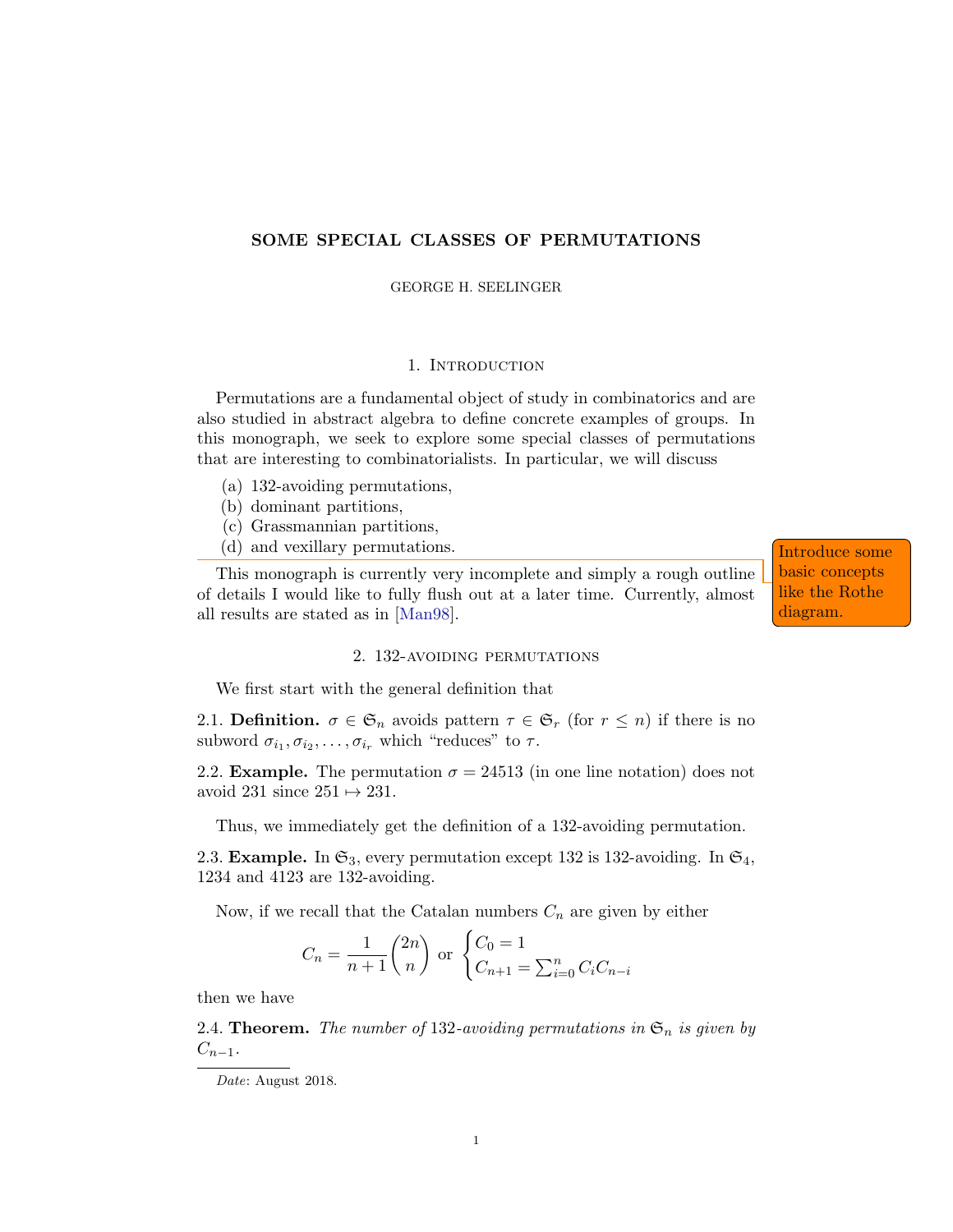# SOME SPECIAL CLASSES OF PERMUTATIONS

GEORGE H. SEELINGER

### 1. Introduction

Permutations are a fundamental object of study in combinatorics and are also studied in abstract algebra to define concrete examples of groups. In this monograph, we seek to explore some special classes of permutations that are interesting to combinatorialists. In particular, we will discuss

- (a) 132-avoiding permutations,
- (b) dominant partitions,
- (c) Grassmannian partitions,
- (d) and vexillary permutations. Introduce some

This monograph is currently very incomplete and simply a rough outline of details I would like to fully flush out at a later time. Currently, almost all results are stated as in [\[Man98\]](#page-3-0).

basic concepts like the Rothe diagram.

#### 2. 132-avoiding permutations

We first start with the general definition that

2.1. Definition.  $\sigma \in \mathfrak{S}_n$  avoids pattern  $\tau \in \mathfrak{S}_r$  (for  $r \leq n$ ) if there is no subword  $\sigma_{i_1}, \sigma_{i_2}, \ldots, \sigma_{i_r}$  which "reduces" to  $\tau$ .

2.2. **Example.** The permutation  $\sigma = 24513$  (in one line notation) does not avoid 231 since  $251 \mapsto 231$ .

Thus, we immediately get the definition of a 132-avoiding permutation.

2.3. Example. In  $\mathfrak{S}_3$ , every permutation except 132 is 132-avoiding. In  $\mathfrak{S}_4$ , 1234 and 4123 are 132-avoiding.

Now, if we recall that the Catalan numbers  $C_n$  are given by either

$$
C_n = \frac{1}{n+1} {2n \choose n}
$$
 or 
$$
\begin{cases} C_0 = 1 \\ C_{n+1} = \sum_{i=0}^n C_i C_{n-i} \end{cases}
$$

then we have

2.4. **Theorem.** The number of 132-avoiding permutations in  $\mathfrak{S}_n$  is given by  $C_{n-1}$ .

Date: August 2018.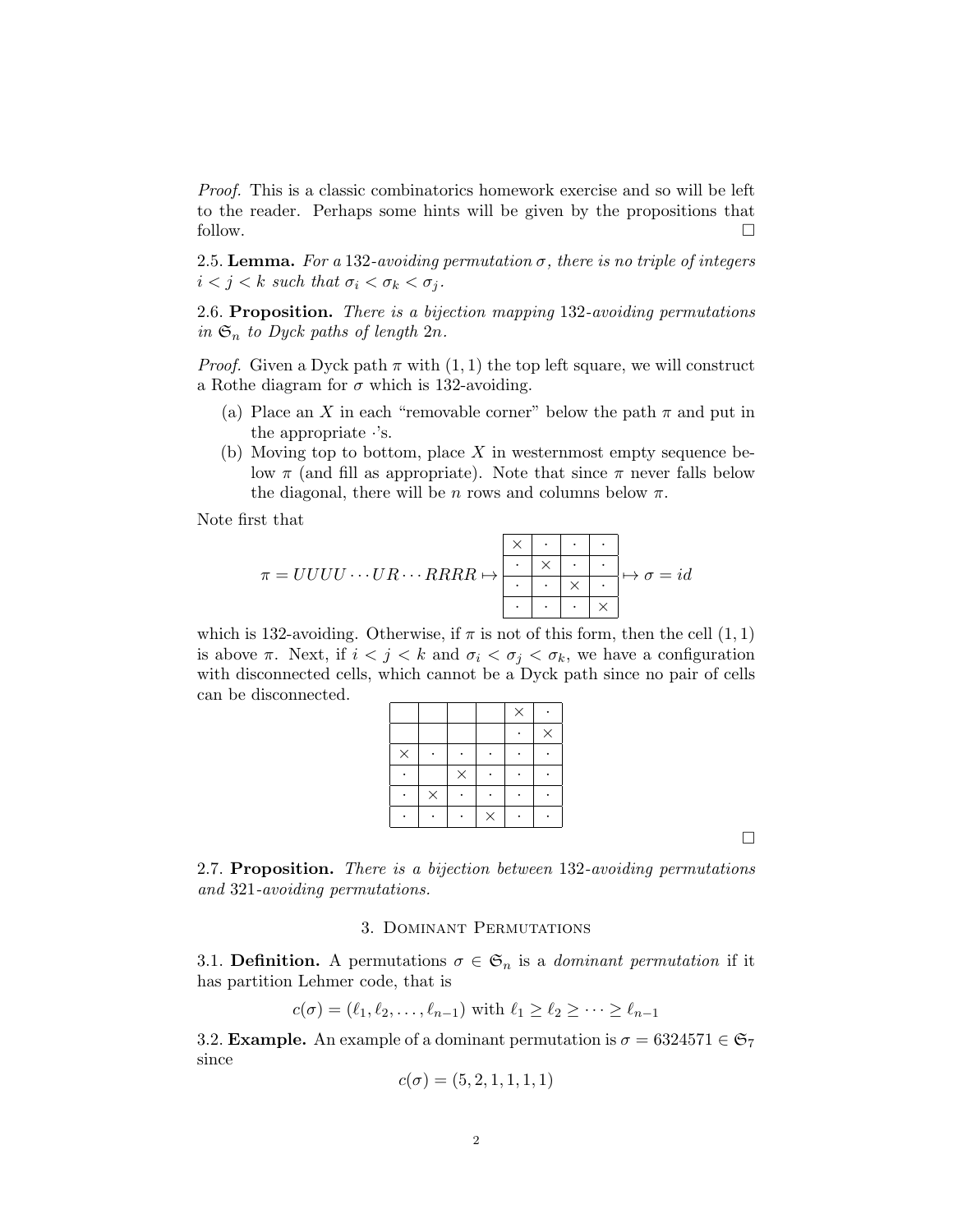Proof. This is a classic combinatorics homework exercise and so will be left to the reader. Perhaps some hints will be given by the propositions that follow.  $\Box$ 

2.5. Lemma. For a 132-avoiding permutation  $\sigma$ , there is no triple of integers  $i < j < k$  such that  $\sigma_i < \sigma_k < \sigma_j$ .

2.6. Proposition. There is a bijection mapping 132-avoiding permutations in  $\mathfrak{S}_n$  to Dyck paths of length  $2n$ .

*Proof.* Given a Dyck path  $\pi$  with  $(1, 1)$  the top left square, we will construct a Rothe diagram for  $\sigma$  which is 132-avoiding.

- (a) Place an X in each "removable corner" below the path  $\pi$  and put in the appropriate ·'s.
- (b) Moving top to bottom, place  $X$  in westernmost empty sequence below  $\pi$  (and fill as appropriate). Note that since  $\pi$  never falls below the diagonal, there will be n rows and columns below  $\pi$ .

Note first that

π = UUUU · · ·UR · · · RRRR 7→ × · · · · × · · · · × · · · · × 7→ σ = id

which is 132-avoiding. Otherwise, if  $\pi$  is not of this form, then the cell  $(1, 1)$ is above  $\pi$ . Next, if  $i < j < k$  and  $\sigma_i < \sigma_j < \sigma_k$ , we have a configuration with disconnected cells, which cannot be a Dyck path since no pair of cells can be disconnected.

|          |          |          |          | $\times$ |          |
|----------|----------|----------|----------|----------|----------|
|          |          |          |          |          | $\times$ |
| $\times$ |          |          |          |          |          |
|          |          | $\times$ |          |          |          |
|          | $\times$ |          |          |          |          |
|          |          |          | $\times$ |          |          |

 $\Box$ 

2.7. Proposition. There is a bijection between 132-avoiding permutations and 321-avoiding permutations.

### 3. Dominant Permutations

3.1. Definition. A permutations  $\sigma \in \mathfrak{S}_n$  is a *dominant permutation* if it has partition Lehmer code, that is

$$
c(\sigma) = (\ell_1, \ell_2, \ldots, \ell_{n-1})
$$
 with  $\ell_1 \geq \ell_2 \geq \cdots \geq \ell_{n-1}$ 

3.2. **Example.** An example of a dominant permutation is  $\sigma = 6324571 \in \mathfrak{S}_7$ since

$$
c(\sigma)=(5,2,1,1,1,1)
$$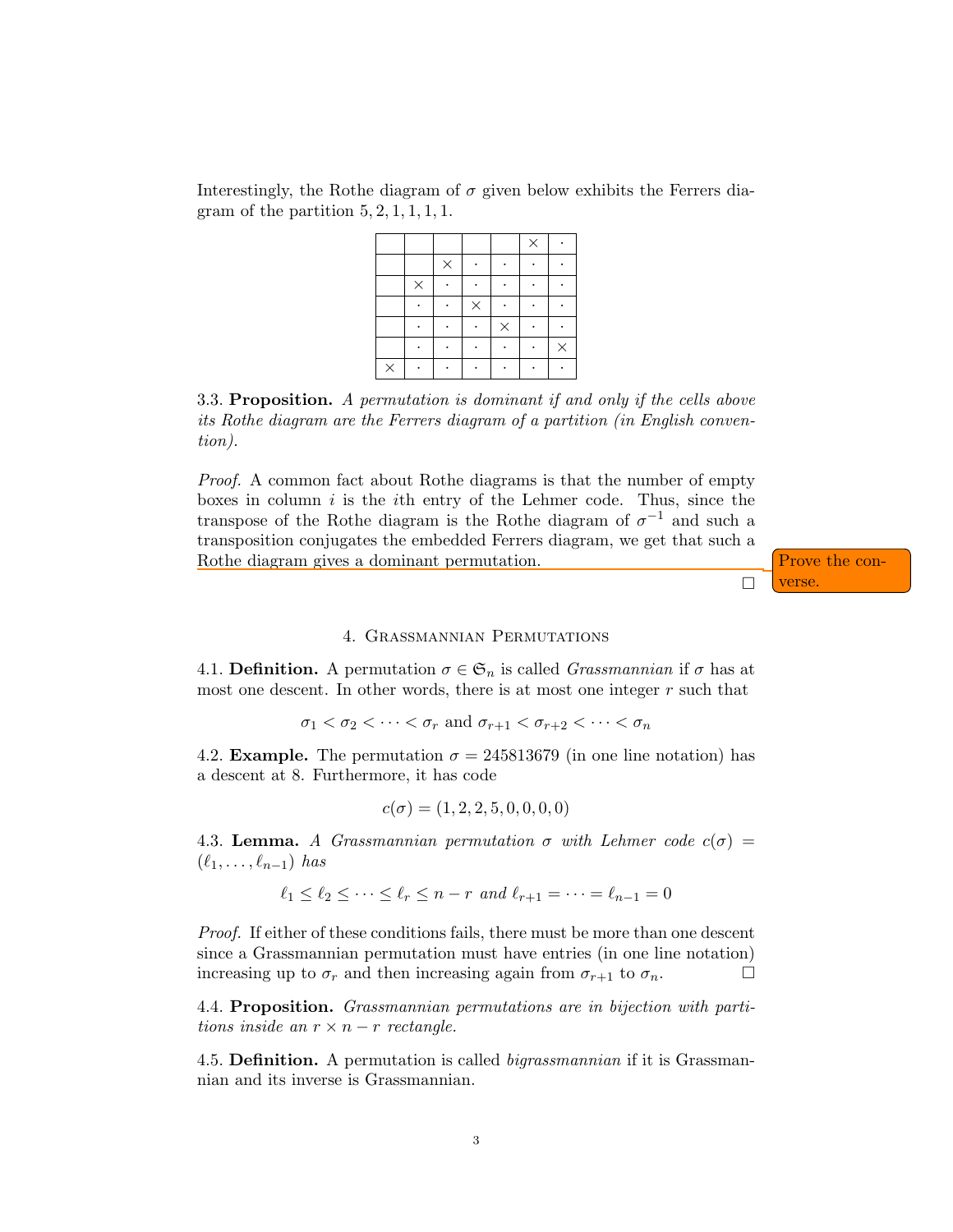Interestingly, the Rothe diagram of  $\sigma$  given below exhibits the Ferrers diagram of the partition  $5, 2, 1, 1, 1, 1$ .

|          |          |          |          |          | $\times$ |          |
|----------|----------|----------|----------|----------|----------|----------|
|          |          | $\times$ |          |          |          |          |
|          | $\times$ |          |          |          |          |          |
|          |          |          | $\times$ |          |          |          |
|          |          |          |          | $\times$ |          |          |
|          |          |          |          |          |          | $\times$ |
| $\times$ |          |          |          |          |          |          |

3.3. Proposition. A permutation is dominant if and only if the cells above its Rothe diagram are the Ferrers diagram of a partition (in English convention).

Proof. A common fact about Rothe diagrams is that the number of empty boxes in column  $i$  is the *i*th entry of the Lehmer code. Thus, since the transpose of the Rothe diagram is the Rothe diagram of  $\sigma^{-1}$  and such a transposition conjugates the embedded Ferrers diagram, we get that such a Rothe diagram gives a dominant permutation.  $\int$  Prove the con-



### 4. Grassmannian Permutations

4.1. Definition. A permutation  $\sigma \in \mathfrak{S}_n$  is called *Grassmannian* if  $\sigma$  has at most one descent. In other words, there is at most one integer r such that

 $\sigma_1 < \sigma_2 < \cdots < \sigma_r$  and  $\sigma_{r+1} < \sigma_{r+2} < \cdots < \sigma_n$ 

4.2. **Example.** The permutation  $\sigma = 245813679$  (in one line notation) has a descent at 8. Furthermore, it has code

$$
c(\sigma) = (1, 2, 2, 5, 0, 0, 0, 0)
$$

4.3. Lemma. A Grassmannian permutation  $\sigma$  with Lehmer code  $c(\sigma)$  =  $(\ell_1, \ldots, \ell_{n-1})$  has

$$
\ell_1 \le \ell_2 \le \cdots \le \ell_r \le n-r \text{ and } \ell_{r+1} = \cdots = \ell_{n-1} = 0
$$

Proof. If either of these conditions fails, there must be more than one descent since a Grassmannian permutation must have entries (in one line notation) increasing up to  $\sigma_r$  and then increasing again from  $\sigma_{r+1}$  to  $\sigma_n$ .

4.4. Proposition. Grassmannian permutations are in bijection with partitions inside an  $r \times n - r$  rectangle.

4.5. Definition. A permutation is called bigrassmannian if it is Grassmannian and its inverse is Grassmannian.